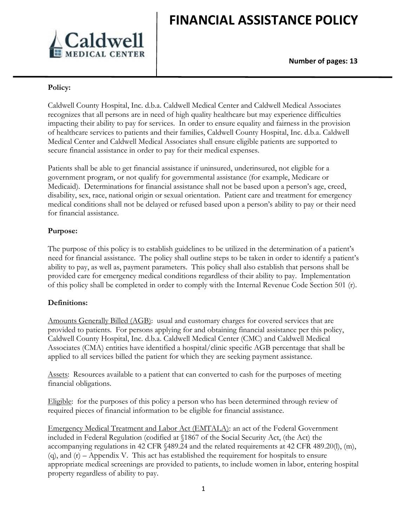

**Number of pages: 13**

# **Policy:**

Caldwell County Hospital, Inc. d.b.a. Caldwell Medical Center and Caldwell Medical Associates recognizes that all persons are in need of high quality healthcare but may experience difficulties impacting their ability to pay for services. In order to ensure equality and fairness in the provision of healthcare services to patients and their families, Caldwell County Hospital, Inc. d.b.a. Caldwell Medical Center and Caldwell Medical Associates shall ensure eligible patients are supported to secure financial assistance in order to pay for their medical expenses.

Patients shall be able to get financial assistance if uninsured, underinsured, not eligible for a government program, or not qualify for governmental assistance (for example, Medicare or Medicaid). Determinations for financial assistance shall not be based upon a person's age, creed, disability, sex, race, national origin or sexual orientation. Patient care and treatment for emergency medical conditions shall not be delayed or refused based upon a person's ability to pay or their need for financial assistance.

## **Purpose:**

The purpose of this policy is to establish guidelines to be utilized in the determination of a patient's need for financial assistance. The policy shall outline steps to be taken in order to identify a patient's ability to pay, as well as, payment parameters. This policy shall also establish that persons shall be provided care for emergency medical conditions regardless of their ability to pay. Implementation of this policy shall be completed in order to comply with the Internal Revenue Code Section 501 (r).

## **Definitions:**

Amounts Generally Billed (AGB): usual and customary charges for covered services that are provided to patients. For persons applying for and obtaining financial assistance per this policy, Caldwell County Hospital, Inc. d.b.a. Caldwell Medical Center (CMC) and Caldwell Medical Associates (CMA) entities have identified a hospital/clinic specific AGB percentage that shall be applied to all services billed the patient for which they are seeking payment assistance.

Assets: Resources available to a patient that can converted to cash for the purposes of meeting financial obligations.

Eligible: for the purposes of this policy a person who has been determined through review of required pieces of financial information to be eligible for financial assistance.

Emergency Medical Treatment and Labor Act (EMTALA): an act of the Federal Government included in Federal Regulation (codified at §1867 of the Social Security Act, (the Act) the accompanying regulations in 42 CFR §489.24 and the related requirements at 42 CFR 489.20(l), (m), (q), and  $(r)$  – Appendix V. This act has established the requirement for hospitals to ensure appropriate medical screenings are provided to patients, to include women in labor, entering hospital property regardless of ability to pay.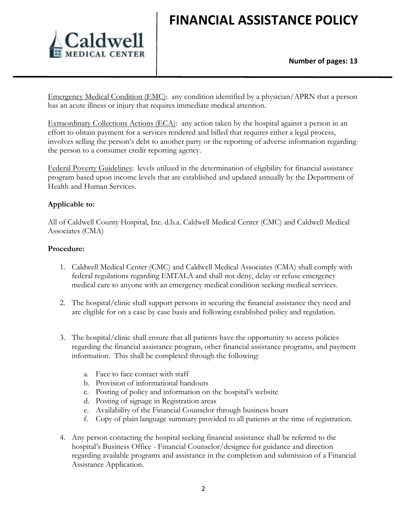

Emergency Medical Condition (EMC): any condition identified by a physician/APRN that a person has an acute illness or injury that requires immediate medical attention.

Extraordinary Collections Actions (ECA): any action taken by the hospital against a person in an effort to obtain payment for a services rendered and billed that requires either a legal process, involves selling the person's debt to another party or the reporting of adverse information regarding the person to a consumer credit reporting agency.

Federal Poverty Guidelines: levels utilized in the determination of eligibility for financial assistance program based upon income levels that are established and updated annually by the Department of Health and Human Services.

## **Applicable to:**

All of Caldwell County Hospital, Inc. d.b.a. Caldwell Medical Center (CMC) and Caldwell Medical Associates (CMA)

### **Procedure:**

- 1. Caldwell Medical Center (CMC) and Caldwell Medical Associates (CMA) shall comply with federal regulations regarding EMTALA and shall not deny, delay or refuse emergency medical care to anyone with an emergency medical condition seeking medical services.
- 2. The hospital/clinic shall support persons in securing the financial assistance they need and are eligible for on a case by case basis and following established policy and regulation.
- 3. The hospital/clinic shall ensure that all patients have the opportunity to access policies regarding the financial assistance program, other financial assistance programs, and payment information. This shall be completed through the following:
	- a. Face to face contact with staff
	- b. Provision of informational handouts
	- c. Posting of policy and information on the hospital's website
	- d. Posting of signage in Registration areas
	- e. Availability of the Financial Counselor through business hours
	- f. Copy of plain language summary provided to all patients at the time of registration.
- 4. Any person contacting the hospital seeking financial assistance shall be referred to the hospital's Business Office - Financial Counselor/designee for guidance and direction regarding available programs and assistance in the completion and submission of a Financial Assistance Application.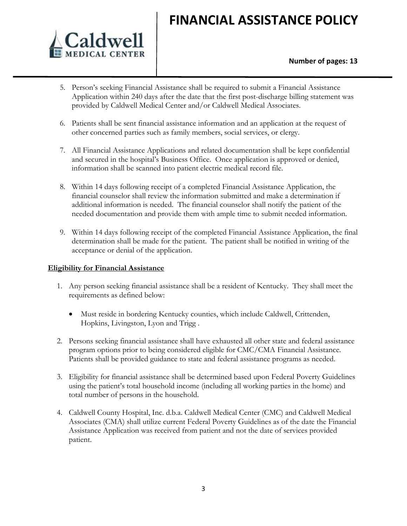

### **Number of pages: 13**

- 5. Person's seeking Financial Assistance shall be required to submit a Financial Assistance Application within 240 days after the date that the first post-discharge billing statement was provided by Caldwell Medical Center and/or Caldwell Medical Associates.
- 6. Patients shall be sent financial assistance information and an application at the request of other concerned parties such as family members, social services, or clergy.
- 7. All Financial Assistance Applications and related documentation shall be kept confidential and secured in the hospital's Business Office. Once application is approved or denied, information shall be scanned into patient electric medical record file.
- 8. Within 14 days following receipt of a completed Financial Assistance Application, the financial counselor shall review the information submitted and make a determination if additional information is needed. The financial counselor shall notify the patient of the needed documentation and provide them with ample time to submit needed information.
- 9. Within 14 days following receipt of the completed Financial Assistance Application, the final determination shall be made for the patient. The patient shall be notified in writing of the acceptance or denial of the application.

#### **Eligibility for Financial Assistance**

- 1. Any person seeking financial assistance shall be a resident of Kentucky. They shall meet the requirements as defined below:
	- Must reside in bordering Kentucky counties, which include Caldwell, Crittenden, Hopkins, Livingston, Lyon and Trigg .
- 2. Persons seeking financial assistance shall have exhausted all other state and federal assistance program options prior to being considered eligible for CMC/CMA Financial Assistance. Patients shall be provided guidance to state and federal assistance programs as needed.
- 3. Eligibility for financial assistance shall be determined based upon Federal Poverty Guidelines using the patient's total household income (including all working parties in the home) and total number of persons in the household.
- 4. Caldwell County Hospital, Inc. d.b.a. Caldwell Medical Center (CMC) and Caldwell Medical Associates (CMA) shall utilize current Federal Poverty Guidelines as of the date the Financial Assistance Application was received from patient and not the date of services provided patient.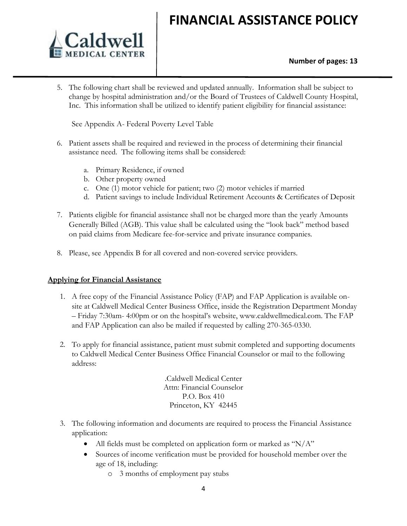

### **Number of pages: 13**

5. The following chart shall be reviewed and updated annually. Information shall be subject to change by hospital administration and/or the Board of Trustees of Caldwell County Hospital, Inc. This information shall be utilized to identify patient eligibility for financial assistance:

See Appendix A- Federal Poverty Level Table

- 6. Patient assets shall be required and reviewed in the process of determining their financial assistance need. The following items shall be considered:
	- a. Primary Residence, if owned
	- b. Other property owned
	- c. One (1) motor vehicle for patient; two (2) motor vehicles if married
	- d. Patient savings to include Individual Retirement Accounts & Certificates of Deposit
- 7. Patients eligible for financial assistance shall not be charged more than the yearly Amounts Generally Billed (AGB). This value shall be calculated using the "look back" method based on paid claims from Medicare fee-for-service and private insurance companies.
- 8. Please, see Appendix B for all covered and non-covered service providers.

#### **Applying for Financial Assistance**

- 1. A free copy of the Financial Assistance Policy (FAP) and FAP Application is available onsite at Caldwell Medical Center Business Office, inside the Registration Department Monday – Friday 7:30am- 4:00pm or on the hospital's website, www.caldwellmedical.com. The FAP and FAP Application can also be mailed if requested by calling 270-365-0330.
- 2. To apply for financial assistance, patient must submit completed and supporting documents to Caldwell Medical Center Business Office Financial Counselor or mail to the following address:

.Caldwell Medical Center Attn: Financial Counselor P.O. Box 410 Princeton, KY 42445

- 3. The following information and documents are required to process the Financial Assistance application:
	- All fields must be completed on application form or marked as " $N/A$ "
	- Sources of income verification must be provided for household member over the age of 18, including:
		- o 3 months of employment pay stubs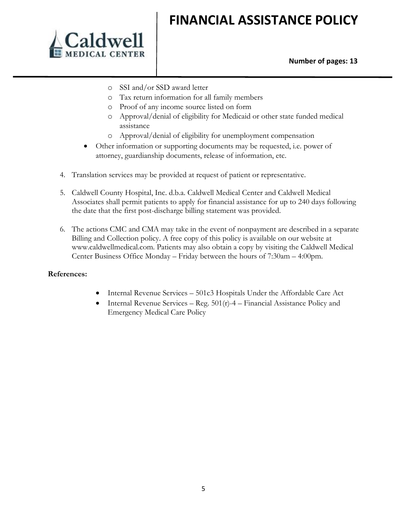

### **Number of pages: 13**

- o SSI and/or SSD award letter
- o Tax return information for all family members
- o Proof of any income source listed on form
- o Approval/denial of eligibility for Medicaid or other state funded medical assistance
- o Approval/denial of eligibility for unemployment compensation
- Other information or supporting documents may be requested, i.e. power of attorney, guardianship documents, release of information, etc.
- 4. Translation services may be provided at request of patient or representative.
- 5. Caldwell County Hospital, Inc. d.b.a. Caldwell Medical Center and Caldwell Medical Associates shall permit patients to apply for financial assistance for up to 240 days following the date that the first post-discharge billing statement was provided.
- 6. The actions CMC and CMA may take in the event of nonpayment are described in a separate Billing and Collection policy. A free copy of this policy is available on our website at www.caldwellmedical.com. Patients may also obtain a copy by visiting the Caldwell Medical Center Business Office Monday – Friday between the hours of 7:30am – 4:00pm.

#### **References:**

- Internal Revenue Services 501c3 Hospitals Under the Affordable Care Act
- Internal Revenue Services Reg. 501(r)-4 Financial Assistance Policy and Emergency Medical Care Policy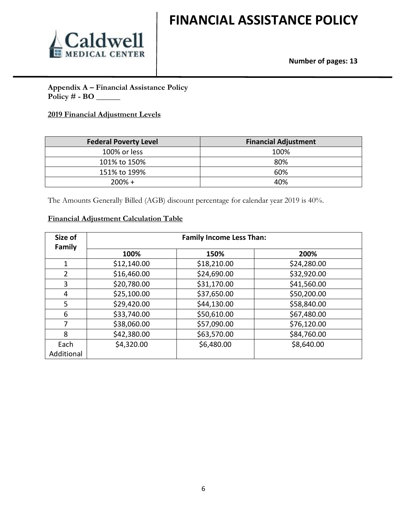

### **Appendix A – Financial Assistance Policy Policy # - BO \_\_\_\_\_\_**

# **2019 Financial Adjustment Levels**

| <b>Federal Poverty Level</b> | <b>Financial Adjustment</b> |
|------------------------------|-----------------------------|
| 100% or less                 | 100%                        |
| 101% to 150%                 | 80%                         |
| 151% to 199%                 | 60%                         |
| $200\% +$                    | 40%                         |

The Amounts Generally Billed (AGB) discount percentage for calendar year 2019 is 40%.

### **Financial Adjustment Calculation Table**

| Size of        | <b>Family Income Less Than:</b> |             |             |  |
|----------------|---------------------------------|-------------|-------------|--|
| <b>Family</b>  | 100%                            | 150%        | 200%        |  |
| 1              | \$12,140.00                     | \$18,210.00 | \$24,280.00 |  |
| $\overline{2}$ | \$16,460.00                     | \$24,690.00 | \$32,920.00 |  |
| 3              | \$20,780.00                     | \$31,170.00 | \$41,560.00 |  |
| 4              | \$25,100.00                     | \$37,650.00 | \$50,200.00 |  |
| 5              | \$29,420.00                     | \$44,130.00 | \$58,840.00 |  |
| 6              | \$33,740.00                     | \$50,610.00 | \$67,480.00 |  |
| 7              | \$38,060.00                     | \$57,090.00 | \$76,120.00 |  |
| 8              | \$42,380.00                     | \$63,570.00 | \$84,760.00 |  |
| Each           | \$4,320.00                      | \$6,480.00  | \$8,640.00  |  |
| Additional     |                                 |             |             |  |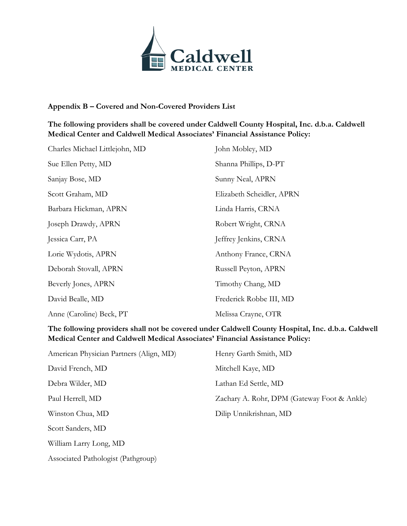

### **Appendix B – Covered and Non-Covered Providers List**

## **The following providers shall be covered under Caldwell County Hospital, Inc. d.b.a. Caldwell Medical Center and Caldwell Medical Associates' Financial Assistance Policy:**

| Charles Michael Littlejohn, MD | John Mobley, MD           |
|--------------------------------|---------------------------|
| Sue Ellen Petty, MD            | Shanna Phillips, D-PT     |
| Sanjay Bose, MD                | Sunny Neal, APRN          |
| Scott Graham, MD               | Elizabeth Scheidler, APRN |
| Barbara Hickman, APRN          | Linda Harris, CRNA        |
| Joseph Drawdy, APRN            | Robert Wright, CRNA       |
| Jessica Carr, PA               | Jeffrey Jenkins, CRNA     |
| Lorie Wydotis, APRN            | Anthony France, CRNA      |
| Deborah Stovall, APRN          | Russell Peyton, APRN      |
| Beverly Jones, APRN            | Timothy Chang, MD         |
| David Bealle, MD               | Frederick Robbe III, MD   |
| Anne (Caroline) Beck, PT       | Melissa Crayne, OTR       |

# **The following providers shall not be covered under Caldwell County Hospital, Inc. d.b.a. Caldwell Medical Center and Caldwell Medical Associates' Financial Assistance Policy:**

| American Physician Partners (Align, MD) | Henry Garth Smith, MD                       |
|-----------------------------------------|---------------------------------------------|
| David French, MD                        | Mitchell Kaye, MD                           |
| Debra Wilder, MD                        | Lathan Ed Settle, MD                        |
| Paul Herrell, MD                        | Zachary A. Rohr, DPM (Gateway Foot & Ankle) |
| Winston Chua, MD                        | Dilip Unnikrishnan, MD                      |
| Scott Sanders, MD                       |                                             |
| William Larry Long, MD                  |                                             |
| Associated Pathologist (Pathgroup)      |                                             |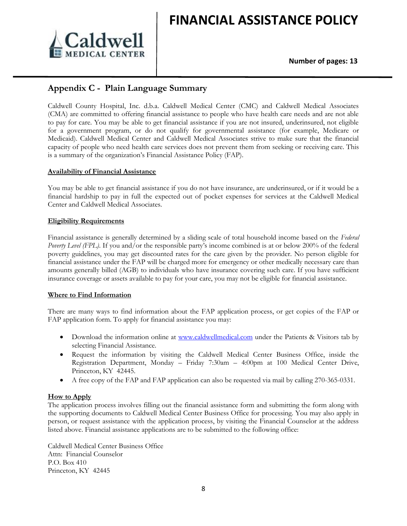



#### **Number of pages: 13**

# **Appendix C - Plain Language Summary**

Caldwell County Hospital, Inc. d.b.a. Caldwell Medical Center (CMC) and Caldwell Medical Associates (CMA) are committed to offering financial assistance to people who have health care needs and are not able to pay for care. You may be able to get financial assistance if you are not insured, underinsured, not eligible for a government program, or do not qualify for governmental assistance (for example, Medicare or Medicaid). Caldwell Medical Center and Caldwell Medical Associates strive to make sure that the financial capacity of people who need health care services does not prevent them from seeking or receiving care. This is a summary of the organization's Financial Assistance Policy (FAP).

#### **Availability of Financial Assistance**

You may be able to get financial assistance if you do not have insurance, are underinsured, or if it would be a financial hardship to pay in full the expected out of pocket expenses for services at the Caldwell Medical Center and Caldwell Medical Associates.

#### **Eligibility Requirements**

Financial assistance is generally determined by a sliding scale of total household income based on the *Federal Poverty Level (FPL)*. If you and/or the responsible party's income combined is at or below 200% of the federal poverty guidelines, you may get discounted rates for the care given by the provider. No person eligible for financial assistance under the FAP will be charged more for emergency or other medically necessary care than amounts generally billed (AGB) to individuals who have insurance covering such care. If you have sufficient insurance coverage or assets available to pay for your care, you may not be eligible for financial assistance.

#### **Where to Find Information**

There are many ways to find information about the FAP application process, or get copies of the FAP or FAP application form. To apply for financial assistance you may:

- Download the information online at [www.caldwellmedical.com](http://www.caldwellmedical.com/) under the Patients & Visitors tab by selecting Financial Assistance.
- Request the information by visiting the Caldwell Medical Center Business Office, inside the Registration Department, Monday – Friday 7:30am – 4:00pm at 100 Medical Center Drive, Princeton, KY 42445.
- A free copy of the FAP and FAP application can also be requested via mail by calling 270-365-0331.

#### **How to Apply**

The application process involves filling out the financial assistance form and submitting the form along with the supporting documents to Caldwell Medical Center Business Office for processing. You may also apply in person, or request assistance with the application process, by visiting the Financial Counselor at the address listed above. Financial assistance applications are to be submitted to the following office:

Caldwell Medical Center Business Office Attn: Financial Counselor P.O. Box 410 Princeton, KY 42445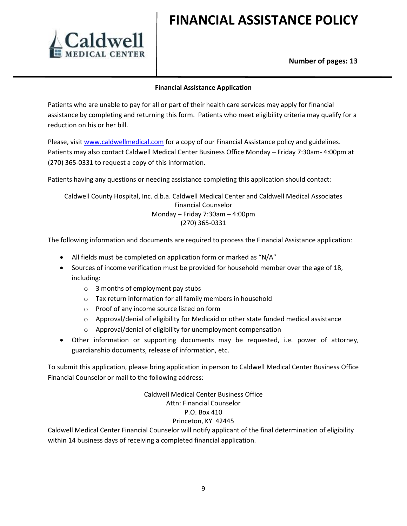

### **Number of pages: 13**

#### **Financial Assistance Application**

Patients who are unable to pay for all or part of their health care services may apply for financial assistance by completing and returning this form. Patients who meet eligibility criteria may qualify for a reduction on his or her bill.

Please, visi[t www.caldwellmedical.com](http://www.caldwellmedical.com/) for a copy of our Financial Assistance policy and guidelines. Patients may also contact Caldwell Medical Center Business Office Monday – Friday 7:30am- 4:00pm at (270) 365-0331 to request a copy of this information.

Patients having any questions or needing assistance completing this application should contact:

Caldwell County Hospital, Inc. d.b.a. Caldwell Medical Center and Caldwell Medical Associates Financial Counselor Monday – Friday 7:30am – 4:00pm (270) 365-0331

The following information and documents are required to process the Financial Assistance application:

- All fields must be completed on application form or marked as "N/A"
- Sources of income verification must be provided for household member over the age of 18, including:
	- o 3 months of employment pay stubs
	- o Tax return information for all family members in household
	- o Proof of any income source listed on form
	- $\circ$  Approval/denial of eligibility for Medicaid or other state funded medical assistance
	- o Approval/denial of eligibility for unemployment compensation
- Other information or supporting documents may be requested, i.e. power of attorney, guardianship documents, release of information, etc.

To submit this application, please bring application in person to Caldwell Medical Center Business Office Financial Counselor or mail to the following address:

> Caldwell Medical Center Business Office Attn: Financial Counselor P.O. Box 410 Princeton, KY 42445

Caldwell Medical Center Financial Counselor will notify applicant of the final determination of eligibility within 14 business days of receiving a completed financial application.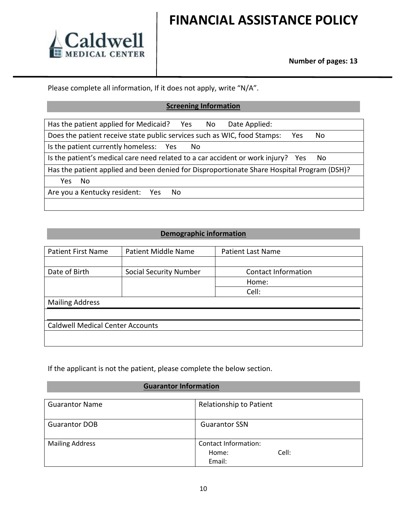

**Number of pages: 13**

Please complete all information, If it does not apply, write "N/A".

# **Screening Information**

| Has the patient applied for Medicaid? Yes<br>Date Applied:<br>No.                          |
|--------------------------------------------------------------------------------------------|
| Does the patient receive state public services such as WIC, food Stamps:<br>Yes<br>No.     |
| Is the patient currently homeless: Yes<br>No.                                              |
| Is the patient's medical care need related to a car accident or work injury? Yes<br>No.    |
| Has the patient applied and been denied for Disproportionate Share Hospital Program (DSH)? |
| No.<br>Yes                                                                                 |
| Are you a Kentucky resident: Yes<br>No.                                                    |
|                                                                                            |

# **Demographic information**

| <b>Patient First Name</b>               | Patient Middle Name           | <b>Patient Last Name</b>   |
|-----------------------------------------|-------------------------------|----------------------------|
|                                         |                               |                            |
| Date of Birth                           | <b>Social Security Number</b> | <b>Contact Information</b> |
|                                         |                               | Home:                      |
|                                         |                               | Cell:                      |
| <b>Mailing Address</b>                  |                               |                            |
|                                         |                               |                            |
| <b>Caldwell Medical Center Accounts</b> |                               |                            |
|                                         |                               |                            |

If the applicant is not the patient, please complete the below section.

## **Guarantor Information**

| <b>Guarantor Name</b>  | Relationship to Patient     |
|------------------------|-----------------------------|
| <b>Guarantor DOB</b>   | <b>Guarantor SSN</b>        |
| <b>Mailing Address</b> | <b>Contact Information:</b> |
|                        | Cell:<br>Home:              |
|                        | Email:                      |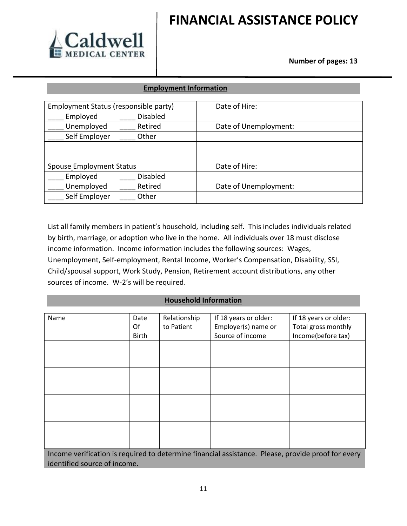

### **Number of pages: 13**

#### **Employment Information**

| Employment Status (responsible party) |                 | Date of Hire:         |
|---------------------------------------|-----------------|-----------------------|
| Employed                              | <b>Disabled</b> |                       |
| Unemployed                            | Retired         | Date of Unemployment: |
| Self Employer                         | Other           |                       |
|                                       |                 |                       |
|                                       |                 |                       |
| <b>Spouse Employment Status</b>       |                 | Date of Hire:         |
| Employed                              | <b>Disabled</b> |                       |
| Unemployed                            | Retired         | Date of Unemployment: |
| Self Employer                         | Other           |                       |

List all family members in patient's household, including self. This includes individuals related by birth, marriage, or adoption who live in the home. All individuals over 18 must disclose income information. Income information includes the following sources: Wages, Unemployment, Self-employment, Rental Income, Worker's Compensation, Disability, SSI, Child/spousal support, Work Study, Pension, Retirement account distributions, any other sources of income. W-2's will be required.

#### **Household Information**

| Name                                                                                               | Date         | Relationship | If 18 years or older: | If 18 years or older: |
|----------------------------------------------------------------------------------------------------|--------------|--------------|-----------------------|-----------------------|
|                                                                                                    | Of           | to Patient   | Employer(s) name or   | Total gross monthly   |
|                                                                                                    | <b>Birth</b> |              | Source of income      | Income(before tax)    |
|                                                                                                    |              |              |                       |                       |
|                                                                                                    |              |              |                       |                       |
|                                                                                                    |              |              |                       |                       |
|                                                                                                    |              |              |                       |                       |
|                                                                                                    |              |              |                       |                       |
|                                                                                                    |              |              |                       |                       |
|                                                                                                    |              |              |                       |                       |
|                                                                                                    |              |              |                       |                       |
|                                                                                                    |              |              |                       |                       |
|                                                                                                    |              |              |                       |                       |
|                                                                                                    |              |              |                       |                       |
|                                                                                                    |              |              |                       |                       |
| Income verification is required to determine financial assistance. Please, provide proof for every |              |              |                       |                       |
| identified source of income.                                                                       |              |              |                       |                       |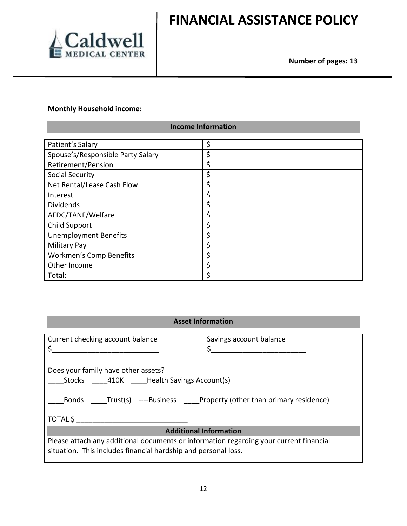

# **Monthly Household income:**

# **Income Information**

| Patient's Salary                  | \$ |
|-----------------------------------|----|
| Spouse's/Responsible Party Salary | \$ |
| Retirement/Pension                | \$ |
| Social Security                   | \$ |
| Net Rental/Lease Cash Flow        | \$ |
| Interest                          | \$ |
| <b>Dividends</b>                  | \$ |
| AFDC/TANF/Welfare                 | \$ |
| <b>Child Support</b>              | \$ |
| <b>Unemployment Benefits</b>      | Ś  |
| <b>Military Pay</b>               | \$ |
| <b>Workmen's Comp Benefits</b>    | \$ |
| Other Income                      | \$ |
| Total:                            | \$ |

## **Asset Information**

| Current checking account balance                                                       | Savings account balance |  |  |
|----------------------------------------------------------------------------------------|-------------------------|--|--|
| Ś.                                                                                     | \$                      |  |  |
|                                                                                        |                         |  |  |
| Does your family have other assets?                                                    |                         |  |  |
|                                                                                        |                         |  |  |
| Stocks 410K Health Savings Account(s)                                                  |                         |  |  |
|                                                                                        |                         |  |  |
| Bonds Trust(s) ----Business Property (other than primary residence)                    |                         |  |  |
|                                                                                        |                         |  |  |
|                                                                                        |                         |  |  |
| TOTAL \$                                                                               |                         |  |  |
| <b>Additional Information</b>                                                          |                         |  |  |
| Please attach any additional documents or information regarding your current financial |                         |  |  |
|                                                                                        |                         |  |  |
| situation. This includes financial hardship and personal loss.                         |                         |  |  |
|                                                                                        |                         |  |  |